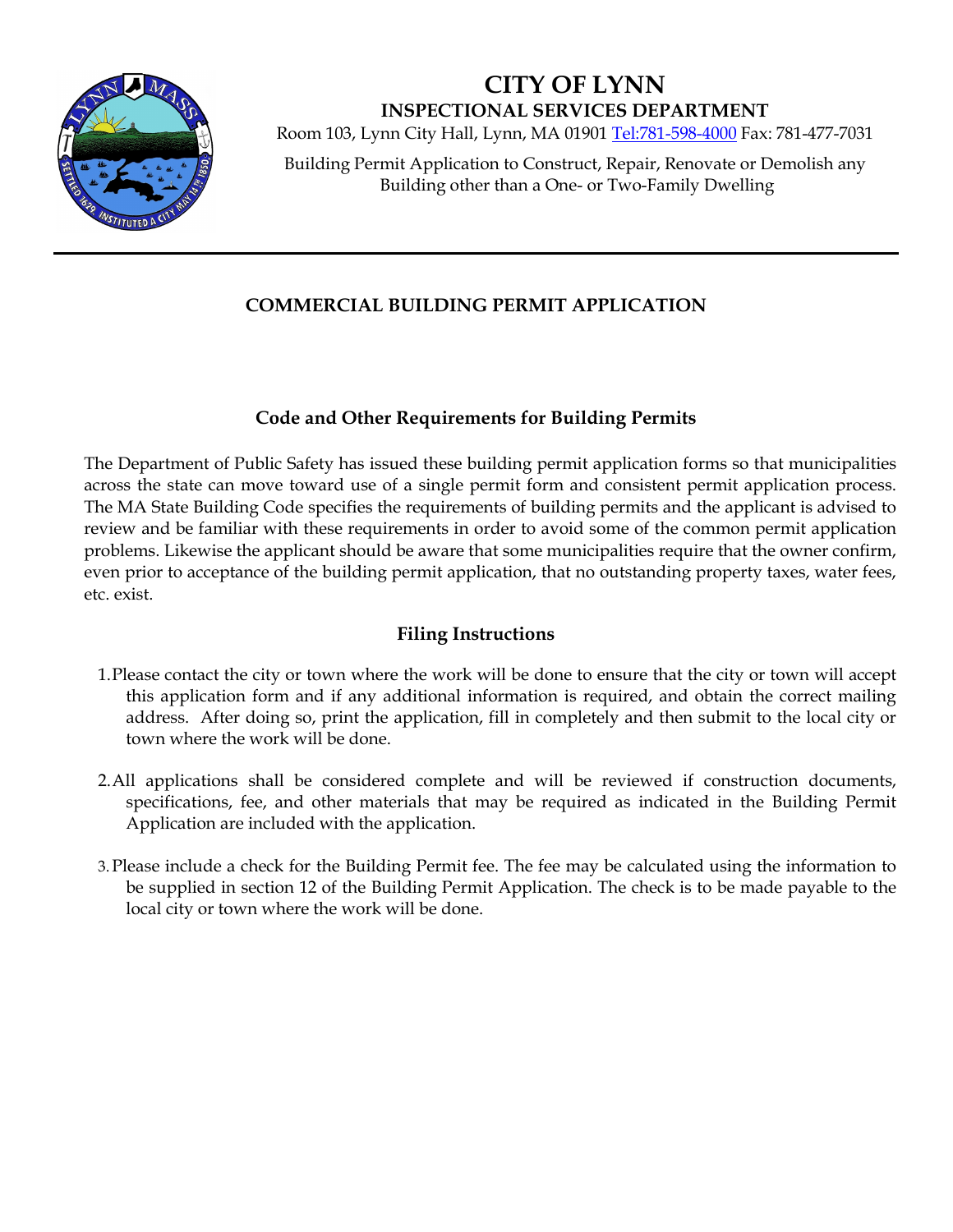

**CITY OF LYNN INSPECTIONAL SERVICES DEPARTMENT**

Room 103, Lynn City Hall, Lynn, MA 01901 [Tel:781-598-4000](tel:781-598-4000) Fax: 781-477-7031

Building Permit Application to Construct, Repair, Renovate or Demolish any Building other than a One- or Two-Family Dwelling

### **COMMERCIAL BUILDING PERMIT APPLICATION**

#### **Code and Other Requirements for Building Permits**

The Department of Public Safety has issued these building permit application forms so that municipalities across the state can move toward use of a single permit form and consistent permit application process. The MA State Building Code specifies the requirements of building permits and the applicant is advised to review and be familiar with these requirements in order to avoid some of the common permit application problems. Likewise the applicant should be aware that some municipalities require that the owner confirm, even prior to acceptance of the building permit application, that no outstanding property taxes, water fees, etc. exist.

#### **Filing Instructions**

- 1.Please contact the city or town where the work will be done to ensure that the city or town will accept this application form and if any additional information is required, and obtain the correct mailing address. After doing so, print the application, fill in completely and then submit to the local city or town where the work will be done.
- 2.All applications shall be considered complete and will be reviewed if construction documents, specifications, fee, and other materials that may be required as indicated in the Building Permit Application are included with the application.
- 3.Please include a check for the Building Permit fee. The fee may be calculated using the information to be supplied in section 12 of the Building Permit Application. The check is to be made payable to the local city or town where the work will be done.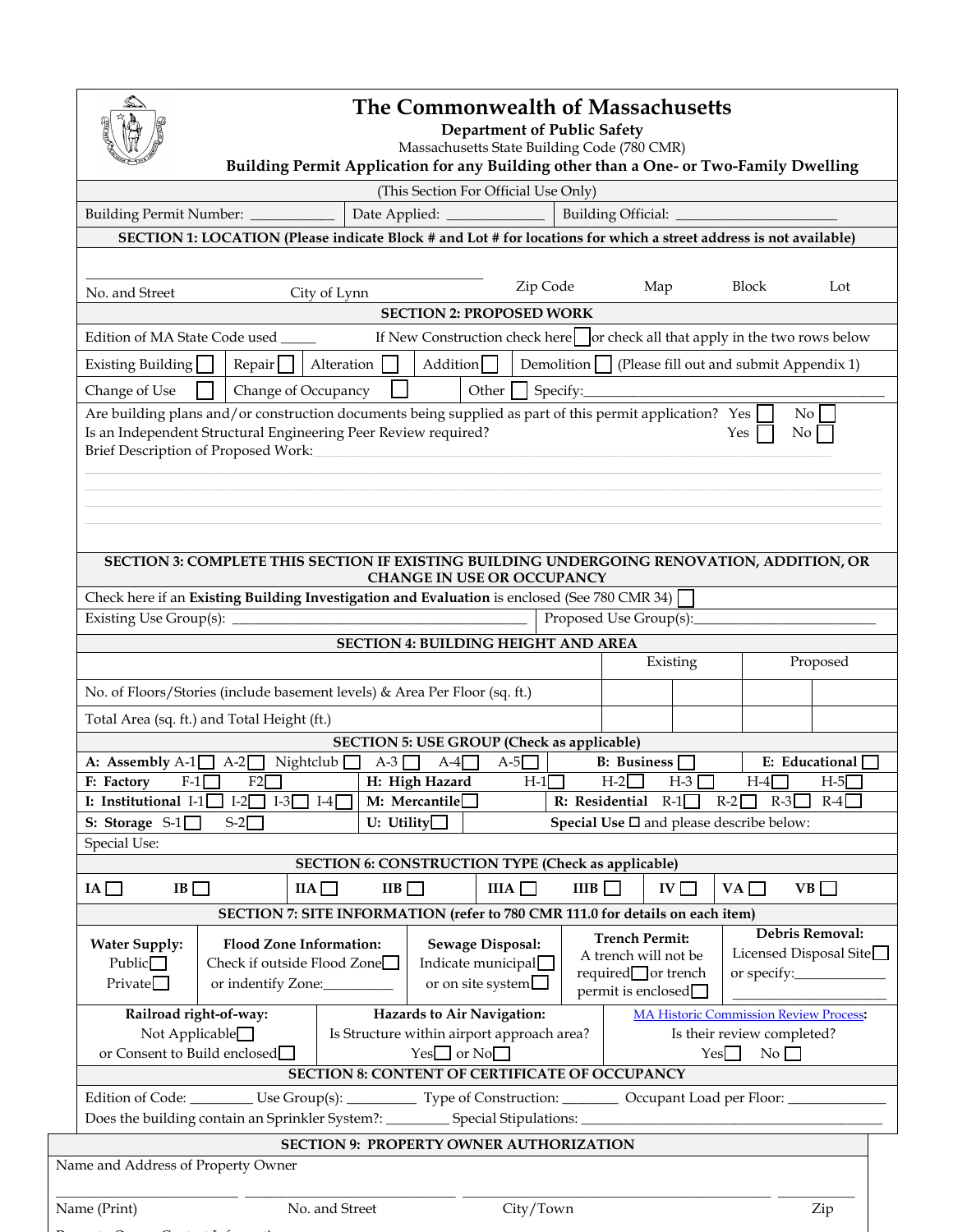

P t O C t to I f the O C to I f the U.S. Contract of the U.S. Contract of the U.S. Contract of the U.S. Contract of the U.S. Contract of the O C to I followed the U.S. Contract of the U.S. Contract of the U.S. Contract of

## **The Commonwealth of Massachusetts**

**Department of Public Safety**

Massachusetts State Building Code (780 CMR)

**Building Permit Application for any Building other than a One- or Two-Family Dwelling**

| Building Official:<br>Building Permit Number: __________<br>SECTION 1: LOCATION (Please indicate Block # and Lot # for locations for which a street address is not available)<br>Block<br>Zip Code<br>Map<br>Lot<br>No. and Street<br>City of Lynn<br><b>SECTION 2: PROPOSED WORK</b><br>Edition of MA State Code used<br>If New Construction check here   or check all that apply in the two rows below<br>Alteration $\Box$<br>Addition $\Box$<br>Demolition   (Please fill out and submit Appendix 1)<br>$\mathsf{Repair}$<br>Existing Building<br>Change of Use<br>Change of Occupancy<br>Other $\vert$<br>Are building plans and/or construction documents being supplied as part of this permit application? Yes<br>No<br>Is an Independent Structural Engineering Peer Review required?<br>Yes<br>No<br>Brief Description of Proposed Work:<br>SECTION 3: COMPLETE THIS SECTION IF EXISTING BUILDING UNDERGOING RENOVATION, ADDITION, OR<br>CHANGE IN USE OR OCCUPANCY<br>Check here if an Existing Building Investigation and Evaluation is enclosed (See 780 CMR 34)<br>Proposed Use Group(s):<br><b>SECTION 4: BUILDING HEIGHT AND AREA</b><br>Existing<br>Proposed<br>No. of Floors/Stories (include basement levels) & Area Per Floor (sq. ft.)<br>Total Area (sq. ft.) and Total Height (ft.)<br><b>SECTION 5: USE GROUP (Check as applicable)</b><br>$A-5$<br>A: Assembly A-1 $\Box$ A-2 $\Box$ Nightclub $\Box$<br>A-3 $\Box$<br>E: Educational<br>$A-4$<br>B: Business<br>$F-1$<br>F2<br>H: High Hazard<br>$H-1$<br>F: Factory<br>$H-2$<br>$H-3$<br>$H-4$<br>$H-5$<br>I: Institutional I-1 $\Box$ I-2 $\Box$ I-3 $\Box$ I-4 $\Box$<br>M: Mercantile $\square$<br>R: Residential R-1 <sup>1</sup><br>$R-3$<br>$R-2$<br>$R-4$<br>U: Utility $\Box$<br>Special Use $\square$ and please describe below:<br>S: Storage $S-1$<br>$S-2$<br>Special Use:<br><b>SECTION 6: CONSTRUCTION TYPE (Check as applicable)</b><br>IIIA<br>IIIB $\Box$<br>$VB \Box$<br>$IA \Box$<br>IB<br>IIA<br>IIB<br>$IV$ $\Box$<br>VA<br>SECTION 7: SITE INFORMATION (refer to 780 CMR 111.0 for details on each item)<br>Debris Removal:<br><b>Trench Permit:</b><br><b>Flood Zone Information:</b><br><b>Water Supply:</b><br><b>Sewage Disposal:</b><br>Licensed Disposal Site<br>A trench will not be<br>Check if outside Flood Zone<br>Indicate municipal $\Box$<br>Public $\Box$<br>$required$ or trench<br>Private<br>or on site system $\Box$<br>or indentify Zone:<br>$\mathrm{permit}$ is enclosed $\Box$<br>Railroad right-of-way:<br>Hazards to Air Navigation:<br><b>MA Historic Commission Review Process:</b><br>Not Applicable <sup>1</sup><br>Is Structure within airport approach area?<br>Is their review completed? |  | (This Section For Official Use Only) |  |  |  |  |
|----------------------------------------------------------------------------------------------------------------------------------------------------------------------------------------------------------------------------------------------------------------------------------------------------------------------------------------------------------------------------------------------------------------------------------------------------------------------------------------------------------------------------------------------------------------------------------------------------------------------------------------------------------------------------------------------------------------------------------------------------------------------------------------------------------------------------------------------------------------------------------------------------------------------------------------------------------------------------------------------------------------------------------------------------------------------------------------------------------------------------------------------------------------------------------------------------------------------------------------------------------------------------------------------------------------------------------------------------------------------------------------------------------------------------------------------------------------------------------------------------------------------------------------------------------------------------------------------------------------------------------------------------------------------------------------------------------------------------------------------------------------------------------------------------------------------------------------------------------------------------------------------------------------------------------------------------------------------------------------------------------------------------------------------------------------------------------------------------------------------------------------------------------------------------------------------------------------------------------------------------------------------------------------------------------------------------------------------------------------------------------------------------------------------------------------------------------------------------------------------------------------------------------------------------------------------------------------------------------------------------------------------------------------------------------------------------------------------------|--|--------------------------------------|--|--|--|--|
|                                                                                                                                                                                                                                                                                                                                                                                                                                                                                                                                                                                                                                                                                                                                                                                                                                                                                                                                                                                                                                                                                                                                                                                                                                                                                                                                                                                                                                                                                                                                                                                                                                                                                                                                                                                                                                                                                                                                                                                                                                                                                                                                                                                                                                                                                                                                                                                                                                                                                                                                                                                                                                                                                                                            |  |                                      |  |  |  |  |
|                                                                                                                                                                                                                                                                                                                                                                                                                                                                                                                                                                                                                                                                                                                                                                                                                                                                                                                                                                                                                                                                                                                                                                                                                                                                                                                                                                                                                                                                                                                                                                                                                                                                                                                                                                                                                                                                                                                                                                                                                                                                                                                                                                                                                                                                                                                                                                                                                                                                                                                                                                                                                                                                                                                            |  |                                      |  |  |  |  |
|                                                                                                                                                                                                                                                                                                                                                                                                                                                                                                                                                                                                                                                                                                                                                                                                                                                                                                                                                                                                                                                                                                                                                                                                                                                                                                                                                                                                                                                                                                                                                                                                                                                                                                                                                                                                                                                                                                                                                                                                                                                                                                                                                                                                                                                                                                                                                                                                                                                                                                                                                                                                                                                                                                                            |  |                                      |  |  |  |  |
|                                                                                                                                                                                                                                                                                                                                                                                                                                                                                                                                                                                                                                                                                                                                                                                                                                                                                                                                                                                                                                                                                                                                                                                                                                                                                                                                                                                                                                                                                                                                                                                                                                                                                                                                                                                                                                                                                                                                                                                                                                                                                                                                                                                                                                                                                                                                                                                                                                                                                                                                                                                                                                                                                                                            |  |                                      |  |  |  |  |
|                                                                                                                                                                                                                                                                                                                                                                                                                                                                                                                                                                                                                                                                                                                                                                                                                                                                                                                                                                                                                                                                                                                                                                                                                                                                                                                                                                                                                                                                                                                                                                                                                                                                                                                                                                                                                                                                                                                                                                                                                                                                                                                                                                                                                                                                                                                                                                                                                                                                                                                                                                                                                                                                                                                            |  |                                      |  |  |  |  |
|                                                                                                                                                                                                                                                                                                                                                                                                                                                                                                                                                                                                                                                                                                                                                                                                                                                                                                                                                                                                                                                                                                                                                                                                                                                                                                                                                                                                                                                                                                                                                                                                                                                                                                                                                                                                                                                                                                                                                                                                                                                                                                                                                                                                                                                                                                                                                                                                                                                                                                                                                                                                                                                                                                                            |  |                                      |  |  |  |  |
|                                                                                                                                                                                                                                                                                                                                                                                                                                                                                                                                                                                                                                                                                                                                                                                                                                                                                                                                                                                                                                                                                                                                                                                                                                                                                                                                                                                                                                                                                                                                                                                                                                                                                                                                                                                                                                                                                                                                                                                                                                                                                                                                                                                                                                                                                                                                                                                                                                                                                                                                                                                                                                                                                                                            |  |                                      |  |  |  |  |
|                                                                                                                                                                                                                                                                                                                                                                                                                                                                                                                                                                                                                                                                                                                                                                                                                                                                                                                                                                                                                                                                                                                                                                                                                                                                                                                                                                                                                                                                                                                                                                                                                                                                                                                                                                                                                                                                                                                                                                                                                                                                                                                                                                                                                                                                                                                                                                                                                                                                                                                                                                                                                                                                                                                            |  |                                      |  |  |  |  |
|                                                                                                                                                                                                                                                                                                                                                                                                                                                                                                                                                                                                                                                                                                                                                                                                                                                                                                                                                                                                                                                                                                                                                                                                                                                                                                                                                                                                                                                                                                                                                                                                                                                                                                                                                                                                                                                                                                                                                                                                                                                                                                                                                                                                                                                                                                                                                                                                                                                                                                                                                                                                                                                                                                                            |  |                                      |  |  |  |  |
|                                                                                                                                                                                                                                                                                                                                                                                                                                                                                                                                                                                                                                                                                                                                                                                                                                                                                                                                                                                                                                                                                                                                                                                                                                                                                                                                                                                                                                                                                                                                                                                                                                                                                                                                                                                                                                                                                                                                                                                                                                                                                                                                                                                                                                                                                                                                                                                                                                                                                                                                                                                                                                                                                                                            |  |                                      |  |  |  |  |
|                                                                                                                                                                                                                                                                                                                                                                                                                                                                                                                                                                                                                                                                                                                                                                                                                                                                                                                                                                                                                                                                                                                                                                                                                                                                                                                                                                                                                                                                                                                                                                                                                                                                                                                                                                                                                                                                                                                                                                                                                                                                                                                                                                                                                                                                                                                                                                                                                                                                                                                                                                                                                                                                                                                            |  |                                      |  |  |  |  |
|                                                                                                                                                                                                                                                                                                                                                                                                                                                                                                                                                                                                                                                                                                                                                                                                                                                                                                                                                                                                                                                                                                                                                                                                                                                                                                                                                                                                                                                                                                                                                                                                                                                                                                                                                                                                                                                                                                                                                                                                                                                                                                                                                                                                                                                                                                                                                                                                                                                                                                                                                                                                                                                                                                                            |  |                                      |  |  |  |  |
|                                                                                                                                                                                                                                                                                                                                                                                                                                                                                                                                                                                                                                                                                                                                                                                                                                                                                                                                                                                                                                                                                                                                                                                                                                                                                                                                                                                                                                                                                                                                                                                                                                                                                                                                                                                                                                                                                                                                                                                                                                                                                                                                                                                                                                                                                                                                                                                                                                                                                                                                                                                                                                                                                                                            |  |                                      |  |  |  |  |
|                                                                                                                                                                                                                                                                                                                                                                                                                                                                                                                                                                                                                                                                                                                                                                                                                                                                                                                                                                                                                                                                                                                                                                                                                                                                                                                                                                                                                                                                                                                                                                                                                                                                                                                                                                                                                                                                                                                                                                                                                                                                                                                                                                                                                                                                                                                                                                                                                                                                                                                                                                                                                                                                                                                            |  |                                      |  |  |  |  |
|                                                                                                                                                                                                                                                                                                                                                                                                                                                                                                                                                                                                                                                                                                                                                                                                                                                                                                                                                                                                                                                                                                                                                                                                                                                                                                                                                                                                                                                                                                                                                                                                                                                                                                                                                                                                                                                                                                                                                                                                                                                                                                                                                                                                                                                                                                                                                                                                                                                                                                                                                                                                                                                                                                                            |  |                                      |  |  |  |  |
|                                                                                                                                                                                                                                                                                                                                                                                                                                                                                                                                                                                                                                                                                                                                                                                                                                                                                                                                                                                                                                                                                                                                                                                                                                                                                                                                                                                                                                                                                                                                                                                                                                                                                                                                                                                                                                                                                                                                                                                                                                                                                                                                                                                                                                                                                                                                                                                                                                                                                                                                                                                                                                                                                                                            |  |                                      |  |  |  |  |
|                                                                                                                                                                                                                                                                                                                                                                                                                                                                                                                                                                                                                                                                                                                                                                                                                                                                                                                                                                                                                                                                                                                                                                                                                                                                                                                                                                                                                                                                                                                                                                                                                                                                                                                                                                                                                                                                                                                                                                                                                                                                                                                                                                                                                                                                                                                                                                                                                                                                                                                                                                                                                                                                                                                            |  |                                      |  |  |  |  |
|                                                                                                                                                                                                                                                                                                                                                                                                                                                                                                                                                                                                                                                                                                                                                                                                                                                                                                                                                                                                                                                                                                                                                                                                                                                                                                                                                                                                                                                                                                                                                                                                                                                                                                                                                                                                                                                                                                                                                                                                                                                                                                                                                                                                                                                                                                                                                                                                                                                                                                                                                                                                                                                                                                                            |  |                                      |  |  |  |  |
|                                                                                                                                                                                                                                                                                                                                                                                                                                                                                                                                                                                                                                                                                                                                                                                                                                                                                                                                                                                                                                                                                                                                                                                                                                                                                                                                                                                                                                                                                                                                                                                                                                                                                                                                                                                                                                                                                                                                                                                                                                                                                                                                                                                                                                                                                                                                                                                                                                                                                                                                                                                                                                                                                                                            |  |                                      |  |  |  |  |
|                                                                                                                                                                                                                                                                                                                                                                                                                                                                                                                                                                                                                                                                                                                                                                                                                                                                                                                                                                                                                                                                                                                                                                                                                                                                                                                                                                                                                                                                                                                                                                                                                                                                                                                                                                                                                                                                                                                                                                                                                                                                                                                                                                                                                                                                                                                                                                                                                                                                                                                                                                                                                                                                                                                            |  |                                      |  |  |  |  |
|                                                                                                                                                                                                                                                                                                                                                                                                                                                                                                                                                                                                                                                                                                                                                                                                                                                                                                                                                                                                                                                                                                                                                                                                                                                                                                                                                                                                                                                                                                                                                                                                                                                                                                                                                                                                                                                                                                                                                                                                                                                                                                                                                                                                                                                                                                                                                                                                                                                                                                                                                                                                                                                                                                                            |  |                                      |  |  |  |  |
|                                                                                                                                                                                                                                                                                                                                                                                                                                                                                                                                                                                                                                                                                                                                                                                                                                                                                                                                                                                                                                                                                                                                                                                                                                                                                                                                                                                                                                                                                                                                                                                                                                                                                                                                                                                                                                                                                                                                                                                                                                                                                                                                                                                                                                                                                                                                                                                                                                                                                                                                                                                                                                                                                                                            |  |                                      |  |  |  |  |
|                                                                                                                                                                                                                                                                                                                                                                                                                                                                                                                                                                                                                                                                                                                                                                                                                                                                                                                                                                                                                                                                                                                                                                                                                                                                                                                                                                                                                                                                                                                                                                                                                                                                                                                                                                                                                                                                                                                                                                                                                                                                                                                                                                                                                                                                                                                                                                                                                                                                                                                                                                                                                                                                                                                            |  |                                      |  |  |  |  |
|                                                                                                                                                                                                                                                                                                                                                                                                                                                                                                                                                                                                                                                                                                                                                                                                                                                                                                                                                                                                                                                                                                                                                                                                                                                                                                                                                                                                                                                                                                                                                                                                                                                                                                                                                                                                                                                                                                                                                                                                                                                                                                                                                                                                                                                                                                                                                                                                                                                                                                                                                                                                                                                                                                                            |  |                                      |  |  |  |  |
|                                                                                                                                                                                                                                                                                                                                                                                                                                                                                                                                                                                                                                                                                                                                                                                                                                                                                                                                                                                                                                                                                                                                                                                                                                                                                                                                                                                                                                                                                                                                                                                                                                                                                                                                                                                                                                                                                                                                                                                                                                                                                                                                                                                                                                                                                                                                                                                                                                                                                                                                                                                                                                                                                                                            |  |                                      |  |  |  |  |
|                                                                                                                                                                                                                                                                                                                                                                                                                                                                                                                                                                                                                                                                                                                                                                                                                                                                                                                                                                                                                                                                                                                                                                                                                                                                                                                                                                                                                                                                                                                                                                                                                                                                                                                                                                                                                                                                                                                                                                                                                                                                                                                                                                                                                                                                                                                                                                                                                                                                                                                                                                                                                                                                                                                            |  |                                      |  |  |  |  |
| $Yes \fbox{or} No \fbox{or}$<br>or Consent to Build enclosed<br>Yes<br>No                                                                                                                                                                                                                                                                                                                                                                                                                                                                                                                                                                                                                                                                                                                                                                                                                                                                                                                                                                                                                                                                                                                                                                                                                                                                                                                                                                                                                                                                                                                                                                                                                                                                                                                                                                                                                                                                                                                                                                                                                                                                                                                                                                                                                                                                                                                                                                                                                                                                                                                                                                                                                                                  |  |                                      |  |  |  |  |
| <b>SECTION 8: CONTENT OF CERTIFICATE OF OCCUPANCY</b>                                                                                                                                                                                                                                                                                                                                                                                                                                                                                                                                                                                                                                                                                                                                                                                                                                                                                                                                                                                                                                                                                                                                                                                                                                                                                                                                                                                                                                                                                                                                                                                                                                                                                                                                                                                                                                                                                                                                                                                                                                                                                                                                                                                                                                                                                                                                                                                                                                                                                                                                                                                                                                                                      |  |                                      |  |  |  |  |
| Edition of Code: _________ Use Group(s): __________ Type of Construction: ________ Occupant Load per Floor: ________<br>Does the building contain an Sprinkler System?: ___________ Special Stipulations: ___________________________                                                                                                                                                                                                                                                                                                                                                                                                                                                                                                                                                                                                                                                                                                                                                                                                                                                                                                                                                                                                                                                                                                                                                                                                                                                                                                                                                                                                                                                                                                                                                                                                                                                                                                                                                                                                                                                                                                                                                                                                                                                                                                                                                                                                                                                                                                                                                                                                                                                                                      |  |                                      |  |  |  |  |
| SECTION 9: PROPERTY OWNER AUTHORIZATION                                                                                                                                                                                                                                                                                                                                                                                                                                                                                                                                                                                                                                                                                                                                                                                                                                                                                                                                                                                                                                                                                                                                                                                                                                                                                                                                                                                                                                                                                                                                                                                                                                                                                                                                                                                                                                                                                                                                                                                                                                                                                                                                                                                                                                                                                                                                                                                                                                                                                                                                                                                                                                                                                    |  |                                      |  |  |  |  |
| Name and Address of Property Owner                                                                                                                                                                                                                                                                                                                                                                                                                                                                                                                                                                                                                                                                                                                                                                                                                                                                                                                                                                                                                                                                                                                                                                                                                                                                                                                                                                                                                                                                                                                                                                                                                                                                                                                                                                                                                                                                                                                                                                                                                                                                                                                                                                                                                                                                                                                                                                                                                                                                                                                                                                                                                                                                                         |  |                                      |  |  |  |  |
| No. and Street<br>City/Town<br>Name (Print)<br>Zip                                                                                                                                                                                                                                                                                                                                                                                                                                                                                                                                                                                                                                                                                                                                                                                                                                                                                                                                                                                                                                                                                                                                                                                                                                                                                                                                                                                                                                                                                                                                                                                                                                                                                                                                                                                                                                                                                                                                                                                                                                                                                                                                                                                                                                                                                                                                                                                                                                                                                                                                                                                                                                                                         |  |                                      |  |  |  |  |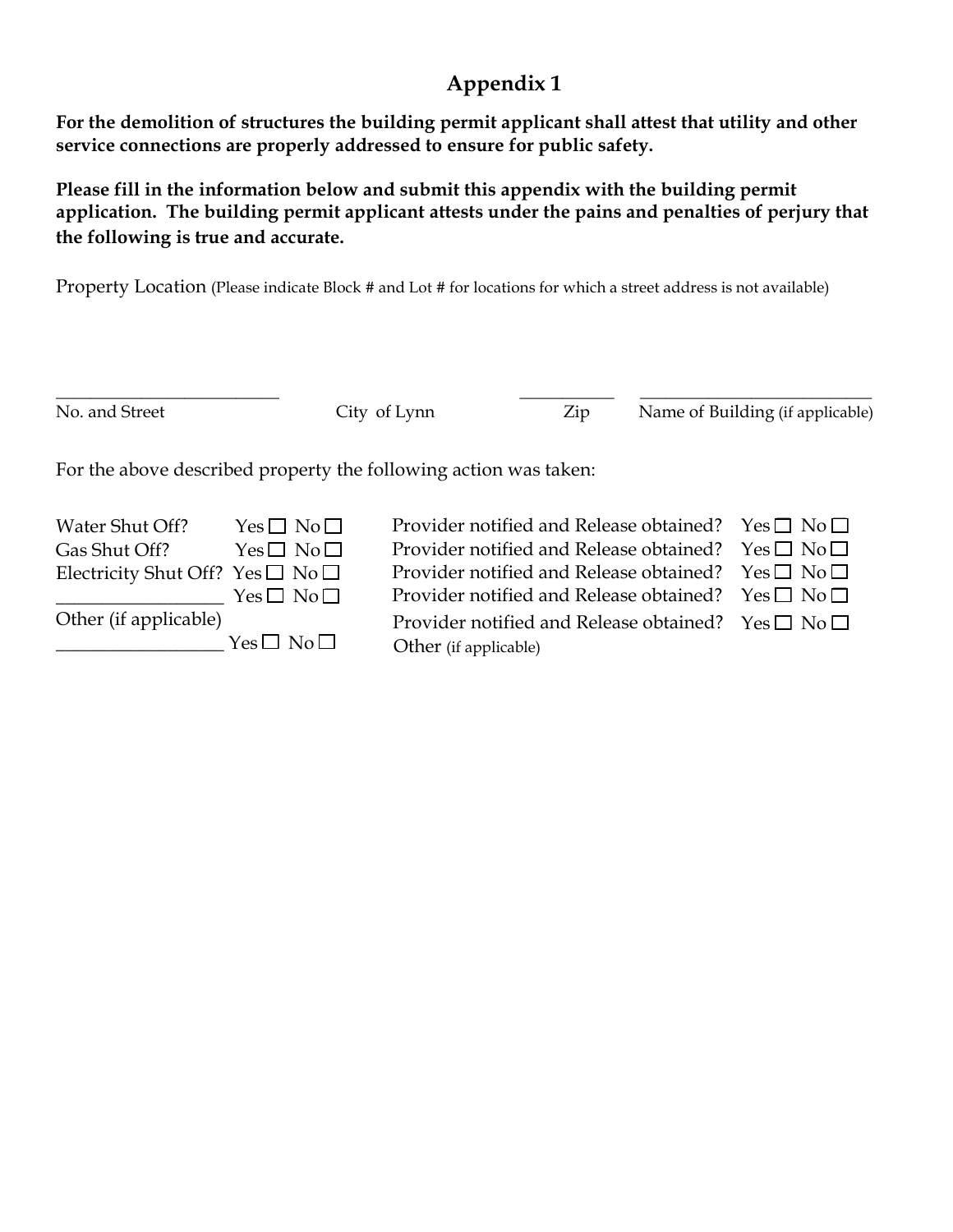# **Appendix 1**

**For the demolition of structures the building permit applicant shall attest that utility and other service connections are properly addressed to ensure for public safety.** 

**Please fill in the information below and submit this appendix with the building permit application. The building permit applicant attests under the pains and penalties of perjury that the following is true and accurate.**

Property Location (Please indicate Block # and Lot # for locations for which a street address is not available)

| No. and Street                                                                       |                                                                | City of Lynn                                                                                                                                                                                        | Zip | Name of Building (if applicable)                               |
|--------------------------------------------------------------------------------------|----------------------------------------------------------------|-----------------------------------------------------------------------------------------------------------------------------------------------------------------------------------------------------|-----|----------------------------------------------------------------|
| For the above described property the following action was taken:                     |                                                                |                                                                                                                                                                                                     |     |                                                                |
| Water Shut Off?<br>Gas Shut Off?<br>Electricity Shut Off? Yes $\square$ No $\square$ | $Yes \Box No \Box$<br>$Yes \Box No \Box$<br>$Yes \Box No \Box$ | Provider notified and Release obtained? Yes $\square$ No $\square$<br>Provider notified and Release obtained?<br>Provider notified and Release obtained?<br>Provider notified and Release obtained? |     | $Yes \Box No \Box$<br>$Yes \Box No \Box$<br>$Yes \Box No \Box$ |
| Other (if applicable)                                                                | $Yes \Box No \Box$                                             | Provider notified and Release obtained? $\text{Yes} \square \text{No} \square$<br>Other (if applicable)                                                                                             |     |                                                                |